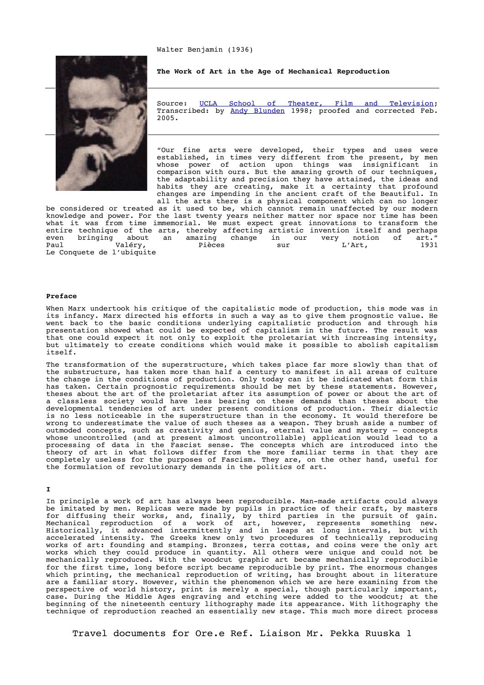Walter Benjamin (1936)



Source: [UCLA School of Theater, Film and Television;](http://pixels.filmtv.ucla.edu/gallery/web/julian_scaff/benjamin/) Transcribed: by <u>Andy Blunden</u> 1998; proofed and corrected Feb. 2005.

**The Work of Art in the Age of Mechanical Reproduction**

"Our fine arts were developed, their types and uses were established, in times very different from the present, by men whose power of action upon things was insignificant in comparison with ours. But the amazing growth of our techniques, the adaptability and precision they have attained, the ideas and habits they are creating, make it a certainty that profound changes are impending in the ancient craft of the Beautiful. In all the arts there is a physical component which can no longer

be considered or treated as it used to be, which cannot remain unaffected by our modern knowledge and power. For the last twenty years neither matter nor space nor time has been what it was from time immemorial. We must expect great innovations to transform the entire technique of the arts, thereby affecting artistic invention itself and perhaps even bringing about an amazing change in our very notion of art." Paul Valéry, Pièces sur L'Art, 1931 Le Conquete de l'ubiquite

#### **Preface**

When Marx undertook his critique of the capitalistic mode of production, this mode was in its infancy. Marx directed his efforts in such a way as to give them prognostic value. He went back to the basic conditions underlying capitalistic production and through his presentation showed what could be expected of capitalism in the future. The result was that one could expect it not only to exploit the proletariat with increasing intensity, but ultimately to create conditions which would make it possible to abolish capitalism itself.

The transformation of the superstructure, which takes place far more slowly than that of the substructure, has taken more than half a century to manifest in all areas of culture the change in the conditions of production. Only today can it be indicated what form this has taken. Certain prognostic requirements should be met by these statements. However, theses about the art of the proletariat after its assumption of power or about the art of a classless society would have less bearing on these demands than theses about the developmental tendencies of art under present conditions of production. Their dialectic is no less noticeable in the superstructure than in the economy. It would therefore be wrong to underestimate the value of such theses as a weapon. They brush aside a number of outmoded concepts, such as creativity and genius, eternal value and mystery – concepts whose uncontrolled (and at present almost uncontrollable) application would lead to a processing of data in the Fascist sense. The concepts which are introduced into the theory of art in what follows differ from the more familiar terms in that they are completely useless for the purposes of Fascism. They are, on the other hand, useful for the formulation of revolutionary demands in the politics of art.

#### **I**

In principle a work of art has always been reproducible. Man-made artifacts could always be imitated by men. Replicas were made by pupils in practice of their craft, by masters for diffusing their works, and, finally, by third parties in the pursuit of gain. Mechanical reproduction of a work of art, however, represents something new. Historically, it advanced intermittently and in leaps at long intervals, but with accelerated intensity. The Greeks knew only two procedures of technically reproducing works of art: founding and stamping. Bronzes, terra cottas, and coins were the only art works which they could produce in quantity. All others were unique and could not be mechanically reproduced. With the woodcut graphic art became mechanically reproducible for the first time, long before script became reproducible by print. The enormous changes which printing, the mechanical reproduction of writing, has brought about in literature are a familiar story. However, within the phenomenon which we are here examining from the perspective of world history, print is merely a special, though particularly important, case. During the Middle Ages engraving and etching were added to the woodcut; at the beginning of the nineteenth century lithography made its appearance. With lithography the technique of reproduction reached an essentially new stage. This much more direct process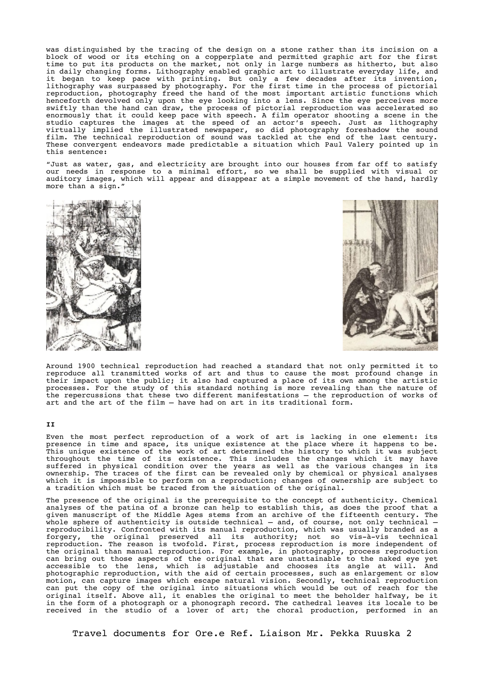was distinguished by the tracing of the design on a stone rather than its incision on a block of wood or its etching on a copperplate and permitted graphic art for the first time to put its products on the market, not only in large numbers as hitherto, but also in daily changing forms. Lithography enabled graphic art to illustrate everyday life, and it began to keep pace with printing. But only a few decades after its invention, lithography was surpassed by photography. For the first time in the process of pictorial reproduction, photography freed the hand of the most important artistic functions which henceforth devolved only upon the eye looking into a lens. Since the eye perceives more swiftly than the hand can draw, the process of pictorial reproduction was accelerated so enormously that it could keep pace with speech. A film operator shooting a scene in the studio captures the images at the speed of an actor's speech. Just as lithography virtually implied the illustrated newspaper, so did photography foreshadow the sound film. The technical reproduction of sound was tackled at the end of the last century. These convergent endeavors made predictable a situation which Paul Valery pointed up in this sentence:

"Just as water, gas, and electricity are brought into our houses from far off to satisfy our needs in response to a minimal effort, so we shall be supplied with visual or auditory images, which will appear and disappear at a simple movement of the hand, hardly more than a sign."





Around 1900 technical reproduction had reached a standard that not only permitted it to reproduce all transmitted works of art and thus to cause the most profound change in their impact upon the public; it also had captured a place of its own among the artistic processes. For the study of this standard nothing is more revealing than the nature of the repercussions that these two different manifestations – the reproduction of works of art and the art of the film – have had on art in its traditional form.

# **II**

Even the most perfect reproduction of a work of art is lacking in one element: its presence in time and space, its unique existence at the place where it happens to be. This unique existence of the work of art determined the history to which it was subject throughout the time of its existence. This includes the changes which it may have suffered in physical condition over the years as well as the various changes in its ownership. The traces of the first can be revealed only by chemical or physical analyses which it is impossible to perform on a reproduction; changes of ownership are subject to a tradition which must be traced from the situation of the original.

The presence of the original is the prerequisite to the concept of authenticity. Chemical analyses of the patina of a bronze can help to establish this, as does the proof that a given manuscript of the Middle Ages stems from an archive of the fifteenth century. The whole sphere of authenticity is outside technical – and, of course, not only technical – reproducibility. Confronted with its manual reproduction, which was usually branded as a forgery, the original preserved all its authority; not so vis-à-vis technical reproduction. The reason is twofold. First, process reproduction is more independent of the original than manual reproduction. For example, in photography, process reproduction can bring out those aspects of the original that are unattainable to the naked eye yet accessible to the lens, which is adjustable and chooses its angle at will. And photographic reproduction, with the aid of certain processes, such as enlargement or slow motion, can capture images which escape natural vision. Secondly, technical reproduction can put the copy of the original into situations which would be out of reach for the original itself. Above all, it enables the original to meet the beholder halfway, be it in the form of a photograph or a phonograph record. The cathedral leaves its locale to be received in the studio of a lover of art; the choral production, performed in an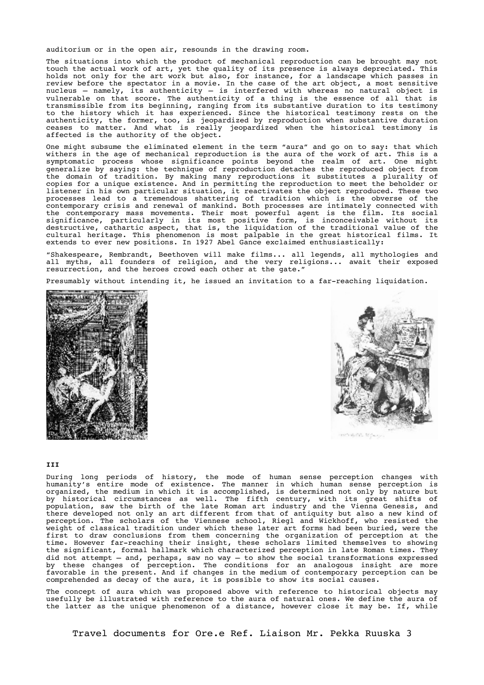auditorium or in the open air, resounds in the drawing room.

The situations into which the product of mechanical reproduction can be brought may not touch the actual work of art, yet the quality of its presence is always depreciated. This holds not only for the art work but also, for instance, for a landscape which passes in review before the spectator in a movie. In the case of the art object, a most sensitive nucleus – namely, its authenticity – is interfered with whereas no natural object is vulnerable on that score. The authenticity of a thing is the essence of all that is transmissible from its beginning, ranging from its substantive duration to its testimony to the history which it has experienced. Since the historical testimony rests on the authenticity, the former, too, is jeopardized by reproduction when substantive duration ceases to matter. And what is really jeopardized when the historical testimony is affected is the authority of the object.

One might subsume the eliminated element in the term "aura" and go on to say: that which withers in the age of mechanical reproduction is the aura of the work of art. This is a symptomatic process whose significance points beyond the realm of art. One might generalize by saying: the technique of reproduction detaches the reproduced object from the domain of tradition. By making many reproductions it substitutes a plurality of copies for a unique existence. And in permitting the reproduction to meet the beholder or listener in his own particular situation, it reactivates the object reproduced. These two processes lead to a tremendous shattering of tradition which is the obverse of the contemporary crisis and renewal of mankind. Both processes are intimately connected with the contemporary mass movements. Their most powerful agent is the film. Its social significance, particularly in its most positive form, is inconceivable without its destructive, cathartic aspect, that is, the liquidation of the traditional value of the cultural heritage. This phenomenon is most palpable in the great historical films. It extends to ever new positions. In 1927 Abel Gance exclaimed enthusiastically:

"Shakespeare, Rembrandt, Beethoven will make films... all legends, all mythologies and all myths, all founders of religion, and the very religions... await their exposed resurrection, and the heroes crowd each other at the gate."

Presumably without intending it, he issued an invitation to a far-reaching liquidation.





metratifications

### **III**

During long periods of history, the mode of human sense perception changes with humanity's entire mode of existence. The manner in which human sense perception is organized, the medium in which it is accomplished, is determined not only by nature but by historical circumstances as well. The fifth century, with its great shifts of population, saw the birth of the late Roman art industry and the Vienna Genesis, and there developed not only an art different from that of antiquity but also a new kind of perception. The scholars of the Viennese school, Riegl and Wickhoff, who resisted the weight of classical tradition under which these later art forms had been buried, were the first to draw conclusions from them concerning the organization of perception at the time. However far-reaching their insight, these scholars limited themselves to showing the significant, formal hallmark which characterized perception in late Roman times. They did not attempt – and, perhaps, saw no way – to show the social transformations expressed by these changes of perception. The conditions for an analogous insight are more favorable in the present. And if changes in the medium of contemporary perception can be comprehended as decay of the aura, it is possible to show its social causes.

The concept of aura which was proposed above with reference to historical objects may usefully be illustrated with reference to the aura of natural ones. We define the aura of the latter as the unique phenomenon of a distance, however close it may be. If, while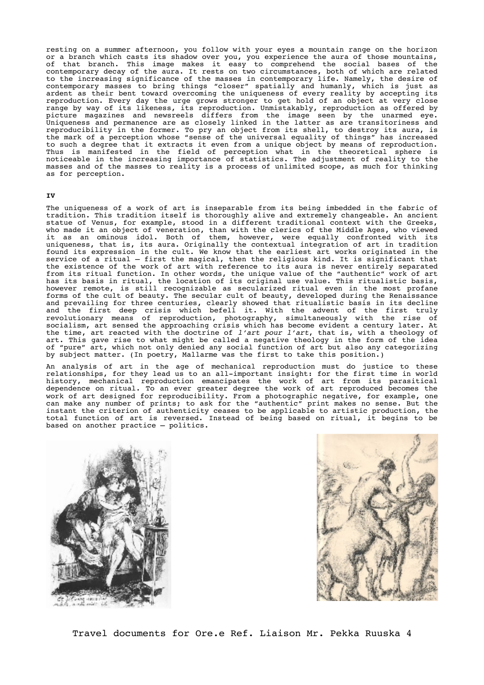resting on a summer afternoon, you follow with your eyes a mountain range on the horizon or a branch which casts its shadow over you, you experience the aura of those mountains, of that branch. This image makes it easy to comprehend the social bases of the contemporary decay of the aura. It rests on two circumstances, both of which are related to the increasing significance of the masses in contemporary life. Namely, the desire of contemporary masses to bring things "closer" spatially and humanly, which is just as ardent as their bent toward overcoming the uniqueness of every reality by accepting its reproduction. Every day the urge grows stronger to get hold of an object at very close range by way of its likeness, its reproduction. Unmistakably, reproduction as offered by picture magazines and newsreels differs from the image seen by the unarmed eye. Uniqueness and permanence are as closely linked in the latter as are transitoriness and reproducibility in the former. To pry an object from its shell, to destroy its aura, is the mark of a perception whose "sense of the universal equality of things" has increased to such a degree that it extracts it even from a unique object by means of reproduction. Thus is manifested in the field of perception what in the theoretical sphere is noticeable in the increasing importance of statistics. The adjustment of reality to the masses and of the masses to reality is a process of unlimited scope, as much for thinking as for perception.

### **IV**

The uniqueness of a work of art is inseparable from its being imbedded in the fabric of tradition. This tradition itself is thoroughly alive and extremely changeable. An ancient statue of Venus, for example, stood in a different traditional context with the Greeks, who made it an object of veneration, than with the clerics of the Middle Ages, who viewed it as an ominous idol. Both of them, however, were equally confronted with its uniqueness, that is, its aura. Originally the contextual integration of art in tradition found its expression in the cult. We know that the earliest art works originated in the service of a ritual – first the magical, then the religious kind. It is significant that the existence of the work of art with reference to its aura is never entirely separated from its ritual function. In other words, the unique value of the "authentic" work of art has its basis in ritual, the location of its original use value. This ritualistic basis, however remote, is still recognizable as secularized ritual even in the most profane forms of the cult of beauty. The secular cult of beauty, developed during the Renaissance and prevailing for three centuries, clearly showed that ritualistic basis in its decline and the first deep crisis which befell it. With the advent of the first truly revolutionary means of reproduction, photography, simultaneously with the rise of socialism, art sensed the approaching crisis which has become evident a century later. At the time, art reacted with the doctrine of *l'art pour l'art*, that is, with a theology of art. This gave rise to what might be called a negative theology in the form of the idea of "pure" art, which not only denied any social function of art but also any categorizing by subject matter. (In poetry, Mallarme was the first to take this position.)

An analysis of art in the age of mechanical reproduction must do justice to these relationships, for they lead us to an all-important insight: for the first time in world history, mechanical reproduction emancipates the work of art from its parasitical dependence on ritual. To an ever greater degree the work of art reproduced becomes the work of art designed for reproducibility. From a photographic negative, for example, one can make any number of prints; to ask for the "authentic" print makes no sense. But the instant the criterion of authenticity ceases to be applicable to artistic production, the total function of art is reversed. Instead of being based on ritual, it begins to be based on another practice – politics.



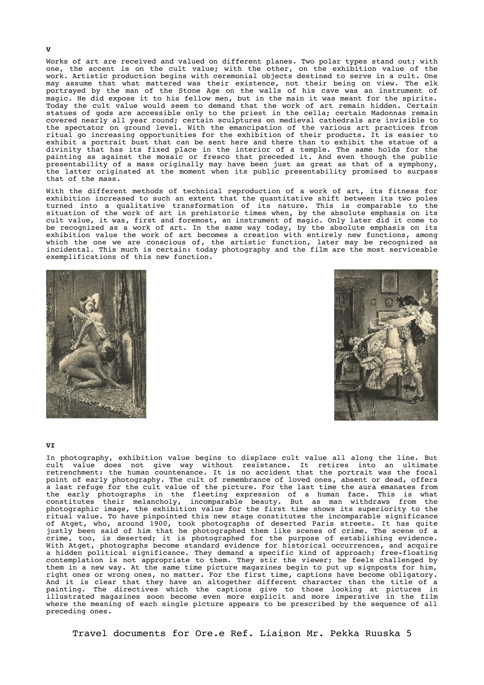Works of art are received and valued on different planes. Two polar types stand out; with one, the accent is on the cult value; with the other, on the exhibition value of the work. Artistic production begins with ceremonial objects destined to serve in a cult. One may assume that what mattered was their existence, not their being on view. The elk portrayed by the man of the Stone Age on the walls of his cave was an instrument of magic. He did expose it to his fellow men, but in the main it was meant for the spirits. Today the cult value would seem to demand that the work of art remain hidden. Certain statues of gods are accessible only to the priest in the cella; certain Madonnas remain covered nearly all year round; certain sculptures on medieval cathedrals are invisible to the spectator on ground level. With the emancipation of the various art practices from ritual go increasing opportunities for the exhibition of their products. It is easier to exhibit a portrait bust that can be sent here and there than to exhibit the statue of a divinity that has its fixed place in the interior of a temple. The same holds for the painting as against the mosaic or fresco that preceded it. And even though the public presentability of a mass originally may have been just as great as that of a symphony, the latter originated at the moment when its public presentability promised to surpass that of the mass.

With the different methods of technical reproduction of a work of art, its fitness for exhibition increased to such an extent that the quantitative shift between its two poles turned into a qualitative transformation of its nature. This is comparable to the situation of the work of art in prehistoric times when, by the absolute emphasis on its cult value, it was, first and foremost, an instrument of magic. Only later did it come to be recognized as a work of art. In the same way today, by the absolute emphasis on its exhibition value the work of art becomes a creation with entirely new functions, among which the one we are conscious of, the artistic function, later may be recognized as incidental. This much is certain: today photography and the film are the most serviceable exemplifications of this new function.





**VI**

In photography, exhibition value begins to displace cult value all along the line. But cult value does not give way without resistance. It retires into an ultimate retrenchment: the human countenance. It is no accident that the portrait was the focal point of early photography. The cult of remembrance of loved ones, absent or dead, offers a last refuge for the cult value of the picture. For the last time the aura emanates from the early photographs in the fleeting expression of a human face. This is what constitutes their melancholy, incomparable beauty. But as man withdraws from the photographic image, the exhibition value for the first time shows its superiority to the ritual value. To have pinpointed this new stage constitutes the incomparable significance of Atget, who, around 1900, took photographs of deserted Paris streets. It has quite justly been said of him that he photographed them like scenes of crime. The scene of a crime, too, is deserted; it is photographed for the purpose of establishing evidence. With Atget, photographs become standard evidence for historical occurrences, and acquire a hidden political significance. They demand a specific kind of approach; free-floating contemplation is not appropriate to them. They stir the viewer; he feels challenged by them in a new way. At the same time picture magazines begin to put up signposts for him, right ones or wrong ones, no matter. For the first time, captions have become obligatory. And it is clear that they have an altogether different character than the title of a painting. The directives which the captions give to those looking at pictures in illustrated magazines soon become even more explicit and more imperative in the film where the meaning of each single picture appears to be prescribed by the sequence of all preceding ones.

Travel documents for Ore.e Ref. Liaison Mr. Pekka Ruuska 5

#### **V**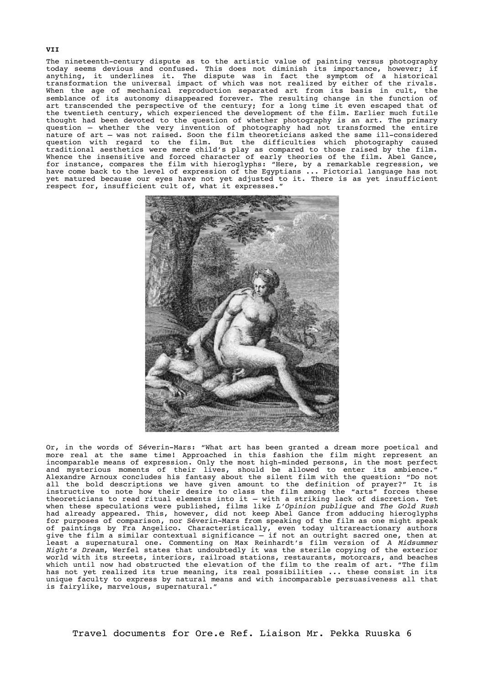The nineteenth-century dispute as to the artistic value of painting versus photography today seems devious and confused. This does not diminish its importance, however; if anything, it underlines it. The dispute was in fact the symptom of a historical transformation the universal impact of which was not realized by either of the rivals. When the age of mechanical reproduction separated art from its basis in cult, the semblance of its autonomy disappeared forever. The resulting change in the function of art transcended the perspective of the century; for a long time it even escaped that of the twentieth century, which experienced the development of the film. Earlier much futile thought had been devoted to the question of whether photography is an art. The primary question – whether the very invention of photography had not transformed the entire nature of art – was not raised. Soon the film theoreticians asked the same ill-considered question with regard to the film. But the difficulties which photography caused traditional aesthetics were mere child's play as compared to those raised by the film. Whence the insensitive and forced character of early theories of the film. Abel Gance, for instance, compares the film with hieroglyphs: "Here, by a remarkable regression, we have come back to the level of expression of the Egyptians ... Pictorial language has not yet matured because our eyes have not yet adjusted to it. There is as yet insufficient respect for, insufficient cult of, what it expresses."



Or, in the words of Séverin-Mars: "What art has been granted a dream more poetical and more real at the same time! Approached in this fashion the film might represent an incomparable means of expression. Only the most high-minded persons, in the most perfect and mysterious moments of their lives, should be allowed to enter its ambience." Alexandre Arnoux concludes his fantasy about the silent film with the question: "Do not all the bold descriptions we have given amount to the definition of prayer?" It is instructive to note how their desire to class the film among the "arts" forces these theoreticians to read ritual elements into it – with a striking lack of discretion. Yet when these speculations were published, films like *L'Opinion publique* and *The Gold Rush* had already appeared. This, however, did not keep Abel Gance from adducing hieroglyphs for purposes of comparison, nor Séverin-Mars from speaking of the film as one might speak of paintings by Fra Angelico. Characteristically, even today ultrareactionary authors give the film a similar contextual significance – if not an outright sacred one, then at least a supernatural one. Commenting on Max Reinhardt's film version of *A Midsummer Night's Dream*, Werfel states that undoubtedly it was the sterile copying of the exterior world with its streets, interiors, railroad stations, restaurants, motorcars, and beaches which until now had obstructed the elevation of the film to the realm of art. "The film has not yet realized its true meaning, its real possibilities ... these consist in its unique faculty to express by natural means and with incomparable persuasiveness all that is fairylike, marvelous, supernatural."

Travel documents for Ore.e Ref. Liaison Mr. Pekka Ruuska 6

# **VII**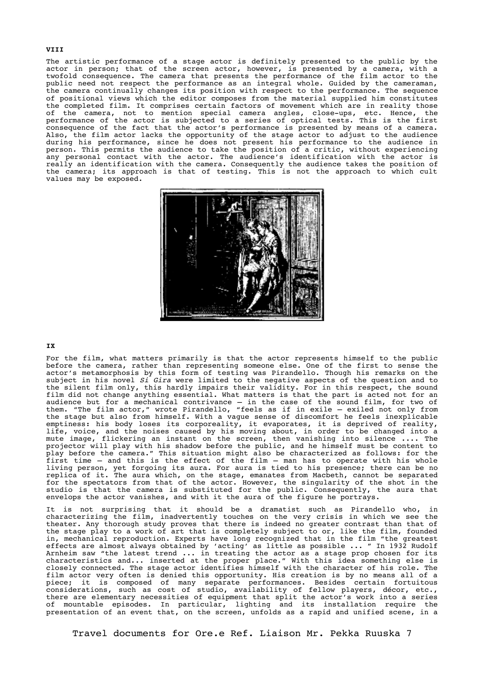The artistic performance of a stage actor is definitely presented to the public by the actor in person; that of the screen actor, however, is presented by a camera, with a twofold consequence. The camera that presents the performance of the film actor to the public need not respect the performance as an integral whole. Guided by the cameraman, the camera continually changes its position with respect to the performance. The sequence of positional views which the editor composes from the material supplied him constitutes the completed film. It comprises certain factors of movement which are in reality those of the camera, not to mention special camera angles, close-ups, etc. Hence, the performance of the actor is subjected to a series of optical tests. This is the first consequence of the fact that the actor's performance is presented by means of a camera. Also, the film actor lacks the opportunity of the stage actor to adjust to the audience during his performance, since he does not present his performance to the audience in person. This permits the audience to take the position of a critic, without experiencing any personal contact with the actor. The audience's identification with the actor is really an identification with the camera. Consequently the audience takes the position of the camera; its approach is that of testing. This is not the approach to which cult values may be exposed.



### **IX**

For the film, what matters primarily is that the actor represents himself to the public before the camera, rather than representing someone else. One of the first to sense the actor's metamorphosis by this form of testing was Pirandello. Though his remarks on the subject in his novel *Si Gira* were limited to the negative aspects of the question and to the silent film only, this hardly impairs their validity. For in this respect, the sound film did not change anything essential. What matters is that the part is acted not for an audience but for a mechanical contrivance – in the case of the sound film, for two of them. "The film actor," wrote Pirandello, "feels as if in exile – exiled not only from the stage but also from himself. With a vague sense of discomfort he feels inexplicable emptiness: his body loses its corporeality, it evaporates, it is deprived of reality, life, voice, and the noises caused by his moving about, in order to be changed into a mute image, flickering an instant on the screen, then vanishing into silence .... The projector will play with his shadow before the public, and he himself must be content to play before the camera." This situation might also be characterized as follows: for the first time – and this is the effect of the film – man has to operate with his whole living person, yet forgoing its aura. For aura is tied to his presence; there can be no replica of it. The aura which, on the stage, emanates from Macbeth, cannot be separated for the spectators from that of the actor. However, the singularity of the shot in the studio is that the camera is substituted for the public. Consequently, the aura that envelops the actor vanishes, and with it the aura of the figure he portrays.

It is not surprising that it should be a dramatist such as Pirandello who, in characterizing the film, inadvertently touches on the very crisis in which we see the theater. Any thorough study proves that there is indeed no greater contrast than that of the stage play to a work of art that is completely subject to or, like the film, founded in, mechanical reproduction. Experts have long recognized that in the film "the greatest effects are almost always obtained by 'acting' as little as possible ... " In 1932 Rudolf Arnheim saw "the latest trend ... in treating the actor as a stage prop chosen for its characteristics and... inserted at the proper place." With this idea something else is closely connected. The stage actor identifies himself with the character of his role. The film actor very often is denied this opportunity. His creation is by no means all of a piece; it is composed of many separate performances. Besides certain fortuitous considerations, such as cost of studio, availability of fellow players, décor, etc., there are elementary necessities of equipment that split the actor's work into a series of mountable episodes. In particular, lighting and its installation require the presentation of an event that, on the screen, unfolds as a rapid and unified scene, in a

Travel documents for Ore.e Ref. Liaison Mr. Pekka Ruuska 7

## **VIII**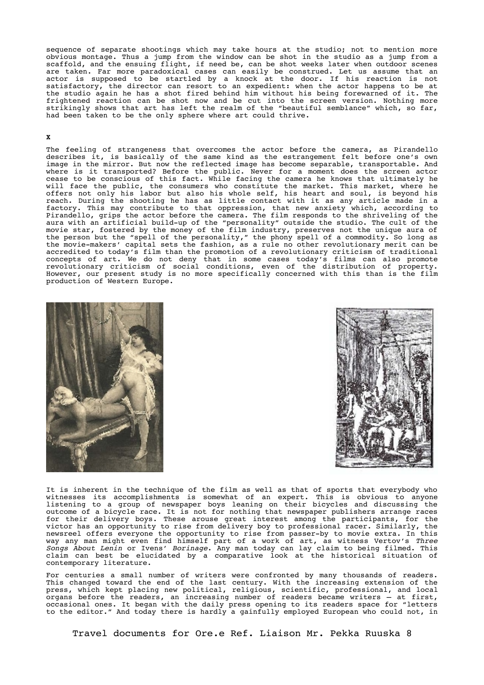sequence of separate shootings which may take hours at the studio; not to mention more obvious montage. Thus a jump from the window can be shot in the studio as a jump from a scaffold, and the ensuing flight, if need be, can be shot weeks later when outdoor scenes are taken. Far more paradoxical cases can easily be construed. Let us assume that an actor is supposed to be startled by a knock at the door. If his reaction is not satisfactory, the director can resort to an expedient: when the actor happens to be at the studio again he has a shot fired behind him without his being forewarned of it. The frightened reaction can be shot now and be cut into the screen version. Nothing more strikingly shows that art has left the realm of the "beautiful semblance" which, so far, had been taken to be the only sphere where art could thrive.

## **X**

The feeling of strangeness that overcomes the actor before the camera, as Pirandello describes it, is basically of the same kind as the estrangement felt before one's own image in the mirror. But now the reflected image has become separable, transportable. And where is it transported? Before the public. Never for a moment does the screen actor cease to be conscious of this fact. While facing the camera he knows that ultimately he will face the public, the consumers who constitute the market. This market, where he offers not only his labor but also his whole self, his heart and soul, is beyond his reach. During the shooting he has as little contact with it as any article made in a factory. This may contribute to that oppression, that new anxiety which, according to Pirandello, grips the actor before the camera. The film responds to the shriveling of the aura with an artificial build-up of the "personality" outside the studio. The cult of the movie star, fostered by the money of the film industry, preserves not the unique aura of the person but the "spell of the personality," the phony spell of a commodity. So long as the movie-makers' capital sets the fashion, as a rule no other revolutionary merit can be accredited to today's film than the promotion of a revolutionary criticism of traditional concepts of art. We do not deny that in some cases today's films can also promote revolutionary criticism of social conditions, even of the distribution of property. However, our present study is no more specifically concerned with this than is the film production of Western Europe.





It is inherent in the technique of the film as well as that of sports that everybody who witnesses its accomplishments is somewhat of an expert. This is obvious to anyone listening to a group of newspaper boys leaning on their bicycles and discussing the outcome of a bicycle race. It is not for nothing that newspaper publishers arrange races for their delivery boys. These arouse great interest among the participants, for the victor has an opportunity to rise from delivery boy to professional racer. Similarly, the newsreel offers everyone the opportunity to rise from passer-by to movie extra. In this way any man might even find himself part of a work of art, as witness Vertov's *Three Songs About Lenin* or Ivens' *Borinage*. Any man today can lay claim to being filmed. This claim can best be elucidated by a comparative look at the historical situation of contemporary literature.

For centuries a small number of writers were confronted by many thousands of readers. This changed toward the end of the last century. With the increasing extension of the press, which kept placing new political, religious, scientific, professional, and local organs before the readers, an increasing number of readers became writers – at first, occasional ones. It began with the daily press opening to its readers space for "letters to the editor." And today there is hardly a gainfully employed European who could not, in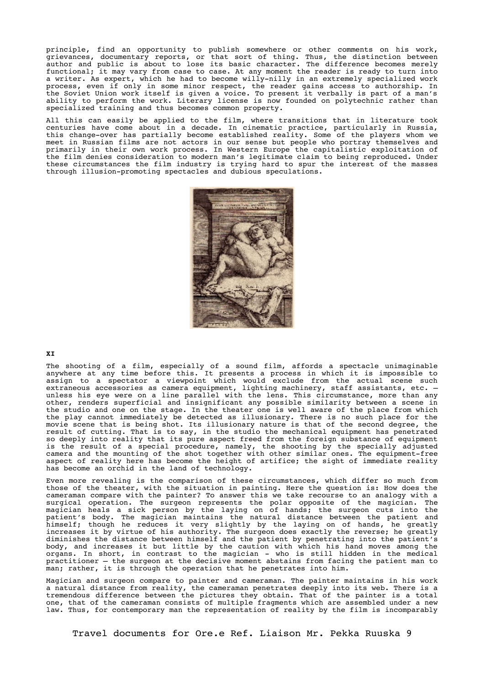principle, find an opportunity to publish somewhere or other comments on his work, grievances, documentary reports, or that sort of thing. Thus, the distinction between author and public is about to lose its basic character. The difference becomes merely functional; it may vary from case to case. At any moment the reader is ready to turn into a writer. As expert, which he had to become willy-nilly in an extremely specialized work process, even if only in some minor respect, the reader gains access to authorship. In the Soviet Union work itself is given a voice. To present it verbally is part of a man's ability to perform the work. Literary license is now founded on polytechnic rather than specialized training and thus becomes common property.

All this can easily be applied to the film, where transitions that in literature took centuries have come about in a decade. In cinematic practice, particularly in Russia, this change-over has partially become established reality. Some of the players whom we meet in Russian films are not actors in our sense but people who portray themselves and primarily in their own work process. In Western Europe the capitalistic exploitation of the film denies consideration to modern man's legitimate claim to being reproduced. Under these circumstances the film industry is trying hard to spur the interest of the masses through illusion-promoting spectacles and dubious speculations.



### **XI**

The shooting of a film, especially of a sound film, affords a spectacle unimaginable anywhere at any time before this. It presents a process in which it is impossible to assign to a spectator a viewpoint which would exclude from the actual scene such extraneous accessories as camera equipment, lighting machinery, staff assistants, etc. – unless his eye were on a line parallel with the lens. This circumstance, more than any other, renders superficial and insignificant any possible similarity between a scene in the studio and one on the stage. In the theater one is well aware of the place from which the play cannot immediately be detected as illusionary. There is no such place for the movie scene that is being shot. Its illusionary nature is that of the second degree, the result of cutting. That is to say, in the studio the mechanical equipment has penetrated so deeply into reality that its pure aspect freed from the foreign substance of equipment is the result of a special procedure, namely, the shooting by the specially adjusted camera and the mounting of the shot together with other similar ones. The equipment-free aspect of reality here has become the height of artifice; the sight of immediate reality has become an orchid in the land of technology.

Even more revealing is the comparison of these circumstances, which differ so much from those of the theater, with the situation in painting. Here the question is: How does the cameraman compare with the painter? To answer this we take recourse to an analogy with a surgical operation. The surgeon represents the polar opposite of the magician. The magician heals a sick person by the laying on of hands; the surgeon cuts into the patient's body. The magician maintains the natural distance between the patient and himself; though he reduces it very slightly by the laying on of hands, he greatly increases it by virtue of his authority. The surgeon does exactly the reverse; he greatly diminishes the distance between himself and the patient by penetrating into the patient's body, and increases it but little by the caution with which his hand moves among the organs. In short, in contrast to the magician - who is still hidden in the medical practitioner – the surgeon at the decisive moment abstains from facing the patient man to man; rather, it is through the operation that he penetrates into him.

Magician and surgeon compare to painter and cameraman. The painter maintains in his work a natural distance from reality, the cameraman penetrates deeply into its web. There is a tremendous difference between the pictures they obtain. That of the painter is a total one, that of the cameraman consists of multiple fragments which are assembled under a new law. Thus, for contemporary man the representation of reality by the film is incomparably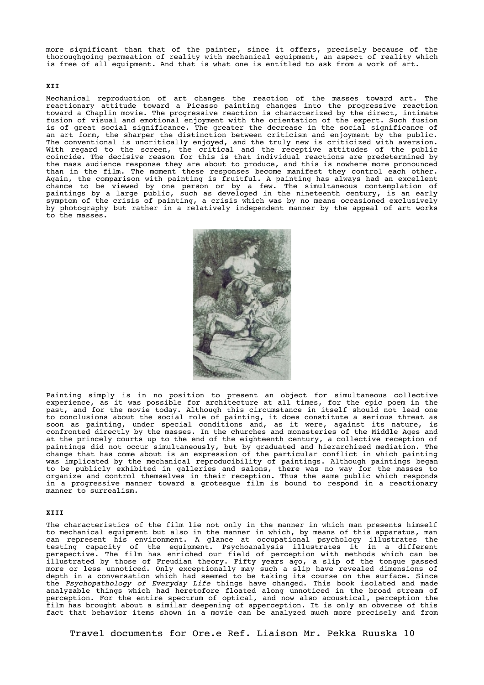more significant than that of the painter, since it offers, precisely because of the thoroughgoing permeation of reality with mechanical equipment, an aspect of reality which is free of all equipment. And that is what one is entitled to ask from a work of art.

**XII**

Mechanical reproduction of art changes the reaction of the masses toward art. The reactionary attitude toward a Picasso painting changes into the progressive reaction toward a Chaplin movie. The progressive reaction is characterized by the direct, intimate fusion of visual and emotional enjoyment with the orientation of the expert. Such fusion is of great social significance. The greater the decrease in the social significance of an art form, the sharper the distinction between criticism and enjoyment by the public. The conventional is uncritically enjoyed, and the truly new is criticized with aversion. With regard to the screen, the critical and the receptive attitudes of the public coincide. The decisive reason for this is that individual reactions are predetermined by the mass audience response they are about to produce, and this is nowhere more pronounced than in the film. The moment these responses become manifest they control each other. Again, the comparison with painting is fruitful. A painting has always had an excellent chance to be viewed by one person or by a few. The simultaneous contemplation of paintings by a large public, such as developed in the nineteenth century, is an early symptom of the crisis of painting, a crisis which was by no means occasioned exclusively by photography but rather in a relatively independent manner by the appeal of art works to the masses.



Painting simply is in no position to present an object for simultaneous collective experience, as it was possible for architecture at all times, for the epic poem in the past, and for the movie today. Although this circumstance in itself should not lead one to conclusions about the social role of painting, it does constitute a serious threat as soon as painting, under special conditions and, as it were, against its nature, is confronted directly by the masses. In the churches and monasteries of the Middle Ages and at the princely courts up to the end of the eighteenth century, a collective reception of paintings did not occur simultaneously, but by graduated and hierarchized mediation. The change that has come about is an expression of the particular conflict in which painting was implicated by the mechanical reproducibility of paintings. Although paintings began to be publicly exhibited in galleries and salons, there was no way for the masses to organize and control themselves in their reception. Thus the same public which responds in a progressive manner toward a grotesque film is bound to respond in a reactionary manner to surrealism.

### **XIII**

The characteristics of the film lie not only in the manner in which man presents himself to mechanical equipment but also in the manner in which, by means of this apparatus, man can represent his environment. A glance at occupational psychology illustrates the testing capacity of the equipment. Psychoanalysis illustrates it in a different perspective. The film has enriched our field of perception with methods which can be illustrated by those of Freudian theory. Fifty years ago, a slip of the tongue passed more or less unnoticed. Only exceptionally may such a slip have revealed dimensions of depth in a conversation which had seemed to be taking its course on the surface. Since the *Psychopathology of Everyday Life* things have changed. This book isolated and made analyzable things which had heretofore floated along unnoticed in the broad stream of perception. For the entire spectrum of optical, and now also acoustical, perception the film has brought about a similar deepening of apperception. It is only an obverse of this fact that behavior items shown in a movie can be analyzed much more precisely and from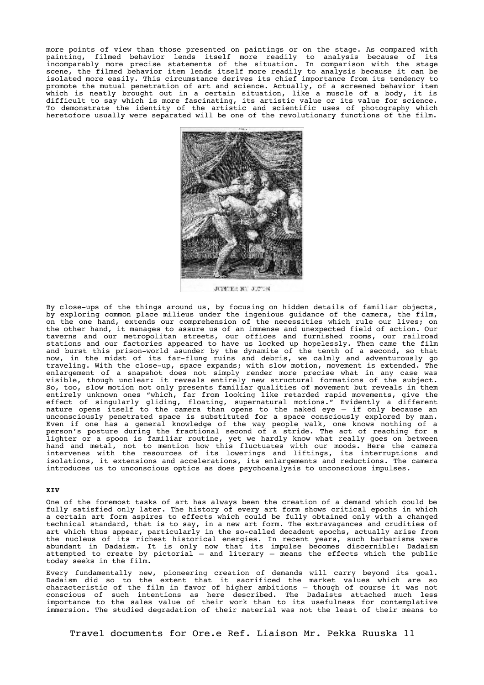more points of view than those presented on paintings or on the stage. As compared with painting, filmed behavior lends itself more readily to analysis because of its incomparably more precise statements of the situation. In comparison with the stage scene, the filmed behavior item lends itself more readily to analysis because it can be isolated more easily. This circumstance derives its chief importance from its tendency to promote the mutual penetration of art and science. Actually, of a screened behavior item which is neatly brought out in a certain situation, like a muscle of a body, it is difficult to say which is more fascinating, its artistic value or its value for science. To demonstrate the identity of the artistic and scientific uses of photography which heretofore usually were separated will be one of the revolutionary functions of the film.



JUSTIFIC BUILDINGS

By close-ups of the things around us, by focusing on hidden details of familiar objects, by exploring common place milieus under the ingenious guidance of the camera, the film, on the one hand, extends our comprehension of the necessities which rule our lives; on the other hand, it manages to assure us of an immense and unexpected field of action. Our taverns and our metropolitan streets, our offices and furnished rooms, our railroad stations and our factories appeared to have us locked up hopelessly. Then came the film and burst this prison-world asunder by the dynamite of the tenth of a second, so that now, in the midst of its far-flung ruins and debris, we calmly and adventurously go traveling. With the close-up, space expands; with slow motion, movement is extended. The enlargement of a snapshot does not simply render more precise what in any case was visible, though unclear: it reveals entirely new structural formations of the subject. So, too, slow motion not only presents familiar qualities of movement but reveals in them entirely unknown ones "which, far from looking like retarded rapid movements, give the effect of singularly gliding, floating, supernatural motions." Evidently a different nature opens itself to the camera than opens to the naked eye – if only because an unconsciously penetrated space is substituted for a space consciously explored by man. Even if one has a general knowledge of the way people walk, one knows nothing of a person's posture during the fractional second of a stride. The act of reaching for a lighter or a spoon is familiar routine, yet we hardly know what really goes on between hand and metal, not to mention how this fluctuates with our moods. Here the camera intervenes with the resources of its lowerings and liftings, its interruptions and isolations, it extensions and accelerations, its enlargements and reductions. The camera introduces us to unconscious optics as does psychoanalysis to unconscious impulses.

### **XIV**

One of the foremost tasks of art has always been the creation of a demand which could be fully satisfied only later. The history of every art form shows critical epochs in which a certain art form aspires to effects which could be fully obtained only with a changed technical standard, that is to say, in a new art form. The extravagances and crudities of art which thus appear, particularly in the so-called decadent epochs, actually arise from the nucleus of its richest historical energies. In recent years, such barbarisms were abundant in Dadaism. It is only now that its impulse becomes discernible: Dadaism attempted to create by pictorial – and literary – means the effects which the public today seeks in the film.

Every fundamentally new, pioneering creation of demands will carry beyond its goal. Dadaism did so to the extent that it sacrificed the market values which are so characteristic of the film in favor of higher ambitions – though of course it was not conscious of such intentions as here described. The Dadaists attached much less importance to the sales value of their work than to its usefulness for contemplative immersion. The studied degradation of their material was not the least of their means to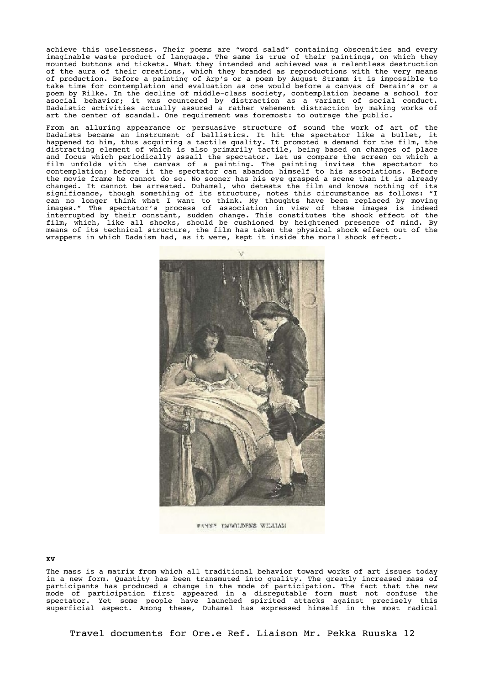achieve this uselessness. Their poems are "word salad" containing obscenities and every imaginable waste product of language. The same is true of their paintings, on which they mounted buttons and tickets. What they intended and achieved was a relentless destruction of the aura of their creations, which they branded as reproductions with the very means of production. Before a painting of Arp's or a poem by August Stramm it is impossible to take time for contemplation and evaluation as one would before a canvas of Derain's or a poem by Rilke. In the decline of middle-class society, contemplation became a school for asocial behavior; it was countered by distraction as a variant of social conduct. Dadaistic activities actually assured a rather vehement distraction by making works of art the center of scandal. One requirement was foremost: to outrage the public.

From an alluring appearance or persuasive structure of sound the work of art of the Dadaists became an instrument of ballistics. It hit the spectator like a bullet, it happened to him, thus acquiring a tactile quality. It promoted a demand for the film, the distracting element of which is also primarily tactile, being based on changes of place and focus which periodically assail the spectator. Let us compare the screen on which a film unfolds with the canvas of a painting. The painting invites the spectator to contemplation; before it the spectator can abandon himself to his associations. Before the movie frame he cannot do so. No sooner has his eye grasped a scene than it is already changed. It cannot be arrested. Duhamel, who detests the film and knows nothing of its significance, though something of its structure, notes this circumstance as follows: "I can no longer think what I want to think. My thoughts have been replaced by moving images." The spectator's process of association in view of these images is indeed interrupted by their constant, sudden change. This constitutes the shock effect of the film, which, like all shocks, should be cushioned by heightened presence of mind. By means of its technical structure, the film has taken the physical shock effect out of the wrappers in which Dadaism had, as it were, kept it inside the moral shock effect.



FANNS ENBOLDENS WILLIAM

**XV**

The mass is a matrix from which all traditional behavior toward works of art issues today in a new form. Quantity has been transmuted into quality. The greatly increased mass of participants has produced a change in the mode of participation. The fact that the new mode of participation first appeared in a disreputable form must not confuse the spectator. Yet some people have launched spirited attacks against precisely this superficial aspect. Among these, Duhamel has expressed himself in the most radical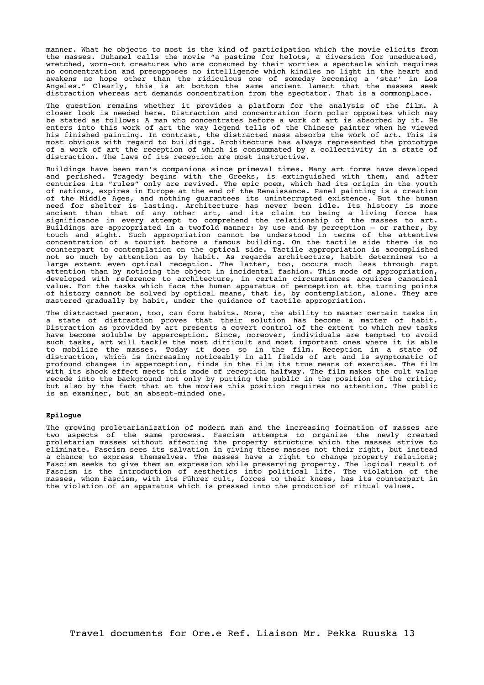manner. What he objects to most is the kind of participation which the movie elicits from the masses. Duhamel calls the movie "a pastime for helots, a diversion for uneducated, wretched, worn-out creatures who are consumed by their worries a spectacle which requires no concentration and presupposes no intelligence which kindles no light in the heart and awakens no hope other than the ridiculous one of someday becoming a 'star' in Los Angeles." Clearly, this is at bottom the same ancient lament that the masses seek distraction whereas art demands concentration from the spectator. That is a commonplace.

The question remains whether it provides a platform for the analysis of the film. A closer look is needed here. Distraction and concentration form polar opposites which may be stated as follows: A man who concentrates before a work of art is absorbed by it. He enters into this work of art the way legend tells of the Chinese painter when he viewed his finished painting. In contrast, the distracted mass absorbs the work of art. This is most obvious with regard to buildings. Architecture has always represented the prototype of a work of art the reception of which is consummated by a collectivity in a state of distraction. The laws of its reception are most instructive.

Buildings have been man's companions since primeval times. Many art forms have developed and perished. Tragedy begins with the Greeks, is extinguished with them, and after centuries its "rules" only are revived. The epic poem, which had its origin in the youth of nations, expires in Europe at the end of the Renaissance. Panel painting is a creation of the Middle Ages, and nothing guarantees its uninterrupted existence. But the human need for shelter is lasting. Architecture has never been idle. Its history is more ancient than that of any other art, and its claim to being a living force has significance in every attempt to comprehend the relationship of the masses to art. Buildings are appropriated in a twofold manner: by use and by perception – or rather, by touch and sight. Such appropriation cannot be understood in terms of the attentive concentration of a tourist before a famous building. On the tactile side there is no counterpart to contemplation on the optical side. Tactile appropriation is accomplished not so much by attention as by habit. As regards architecture, habit determines to a large extent even optical reception. The latter, too, occurs much less through rapt attention than by noticing the object in incidental fashion. This mode of appropriation, developed with reference to architecture, in certain circumstances acquires canonical value. For the tasks which face the human apparatus of perception at the turning points of history cannot be solved by optical means, that is, by contemplation, alone. They are mastered gradually by habit, under the guidance of tactile appropriation.

The distracted person, too, can form habits. More, the ability to master certain tasks in a state of distraction proves that their solution has become a matter of habit. Distraction as provided by art presents a covert control of the extent to which new tasks have become soluble by apperception. Since, moreover, individuals are tempted to avoid such tasks, art will tackle the most difficult and most important ones where it is able to mobilize the masses. Today it does so in the film. Reception in a state of distraction, which is increasing noticeably in all fields of art and is symptomatic of profound changes in apperception, finds in the film its true means of exercise. The film with its shock effect meets this mode of reception halfway. The film makes the cult value recede into the background not only by putting the public in the position of the critic, but also by the fact that at the movies this position requires no attention. The public is an examiner, but an absent-minded one.

# **Epilogue**

The growing proletarianization of modern man and the increasing formation of masses are two aspects of the same process. Fascism attempts to organize the newly created proletarian masses without affecting the property structure which the masses strive to eliminate. Fascism sees its salvation in giving these masses not their right, but instead a chance to express themselves. The masses have a right to change property relations; Fascism seeks to give them an expression while preserving property. The logical result of Fascism is the introduction of aesthetics into political life. The violation of the masses, whom Fascism, with its Führer cult, forces to their knees, has its counterpart in the violation of an apparatus which is pressed into the production of ritual values.